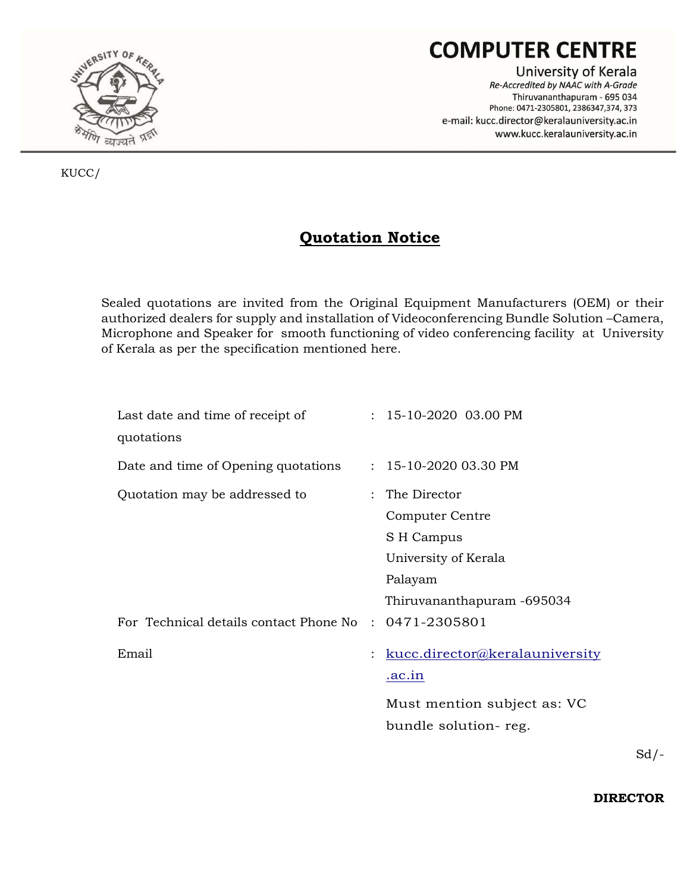

# **COMPUTER CENTRE**

University of Kerala Re-Accredited by NAAC with A-Grade Thiruvananthapuram - 695 034 Phone: 0471-2305801, 2386347,374, 373 e-mail: kucc.director@keralauniversity.ac.in www.kucc.keralauniversity.ac.in

KUCC/

# Quotation Notice

Sealed quotations are invited from the Original Equipment Manufacturers (OEM) or their authorized dealers for supply and installation of Videoconferencing Bundle Solution –Camera, Microphone and Speaker for smooth functioning of video conferencing facility at University of Kerala as per the specification mentioned here.

| Last date and time of receipt of                      |                | $: 15-10-2020$ 03.00 PM        |
|-------------------------------------------------------|----------------|--------------------------------|
| quotations                                            |                |                                |
| Date and time of Opening quotations                   |                | $: 15-10-202003.30$ PM         |
| Quotation may be addressed to                         |                | : The Director                 |
|                                                       |                | Computer Centre                |
|                                                       |                | S H Campus                     |
|                                                       |                | University of Kerala           |
|                                                       |                | Palayam                        |
|                                                       |                | Thiruvananthapuram -695034     |
| For Technical details contact Phone No : 0471-2305801 |                |                                |
| Email                                                 | $\ddot{\cdot}$ | kucc.director@keralauniversity |
|                                                       |                | <u>.ac.in</u>                  |
|                                                       |                | Must mention subject as: VC    |
|                                                       |                | bundle solution-reg.           |

 $Sd$  /-

DIRECTOR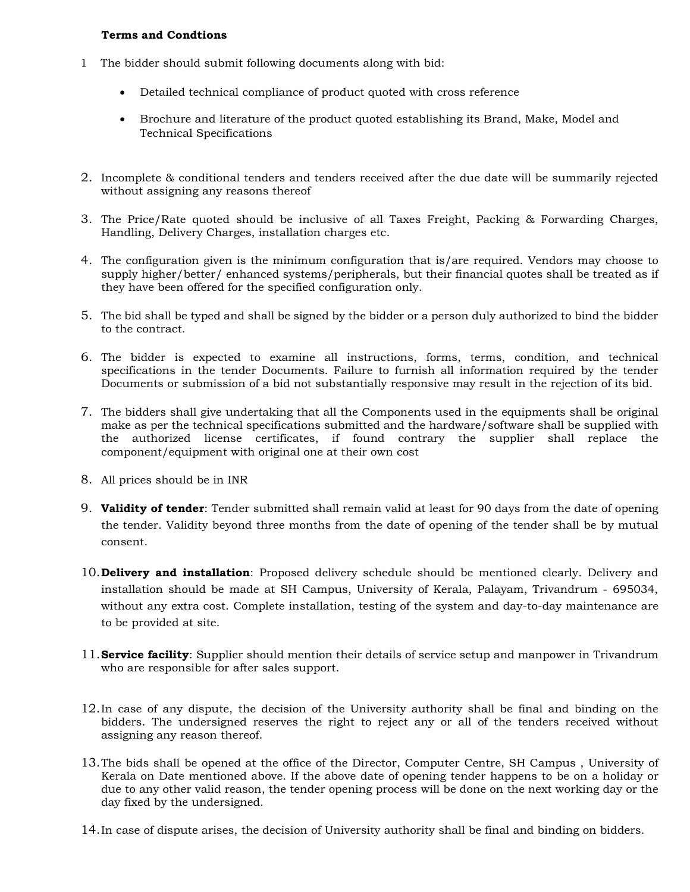#### Terms and Condtions

- 1 The bidder should submit following documents along with bid:
	- Detailed technical compliance of product quoted with cross reference
	- Brochure and literature of the product quoted establishing its Brand, Make, Model and Technical Specifications
- 2. Incomplete & conditional tenders and tenders received after the due date will be summarily rejected without assigning any reasons thereof
- 3. The Price/Rate quoted should be inclusive of all Taxes Freight, Packing & Forwarding Charges, Handling, Delivery Charges, installation charges etc.
- 4. The configuration given is the minimum configuration that is/are required. Vendors may choose to supply higher/better/ enhanced systems/peripherals, but their financial quotes shall be treated as if they have been offered for the specified configuration only.
- 5. The bid shall be typed and shall be signed by the bidder or a person duly authorized to bind the bidder to the contract.
- 6. The bidder is expected to examine all instructions, forms, terms, condition, and technical specifications in the tender Documents. Failure to furnish all information required by the tender Documents or submission of a bid not substantially responsive may result in the rejection of its bid.
- 7. The bidders shall give undertaking that all the Components used in the equipments shall be original make as per the technical specifications submitted and the hardware/software shall be supplied with the authorized license certificates, if found contrary the supplier shall replace the component/equipment with original one at their own cost
- 8. All prices should be in INR
- 9. Validity of tender: Tender submitted shall remain valid at least for 90 days from the date of opening the tender. Validity beyond three months from the date of opening of the tender shall be by mutual consent.
- 10. Delivery and installation: Proposed delivery schedule should be mentioned clearly. Delivery and installation should be made at SH Campus, University of Kerala, Palayam, Trivandrum - 695034, without any extra cost. Complete installation, testing of the system and day-to-day maintenance are to be provided at site.
- 11. Service facility: Supplier should mention their details of service setup and manpower in Trivandrum who are responsible for after sales support.
- 12.In case of any dispute, the decision of the University authority shall be final and binding on the bidders. The undersigned reserves the right to reject any or all of the tenders received without assigning any reason thereof.
- 13.The bids shall be opened at the office of the Director, Computer Centre, SH Campus , University of Kerala on Date mentioned above. If the above date of opening tender happens to be on a holiday or due to any other valid reason, the tender opening process will be done on the next working day or the day fixed by the undersigned.
- 14.In case of dispute arises, the decision of University authority shall be final and binding on bidders.